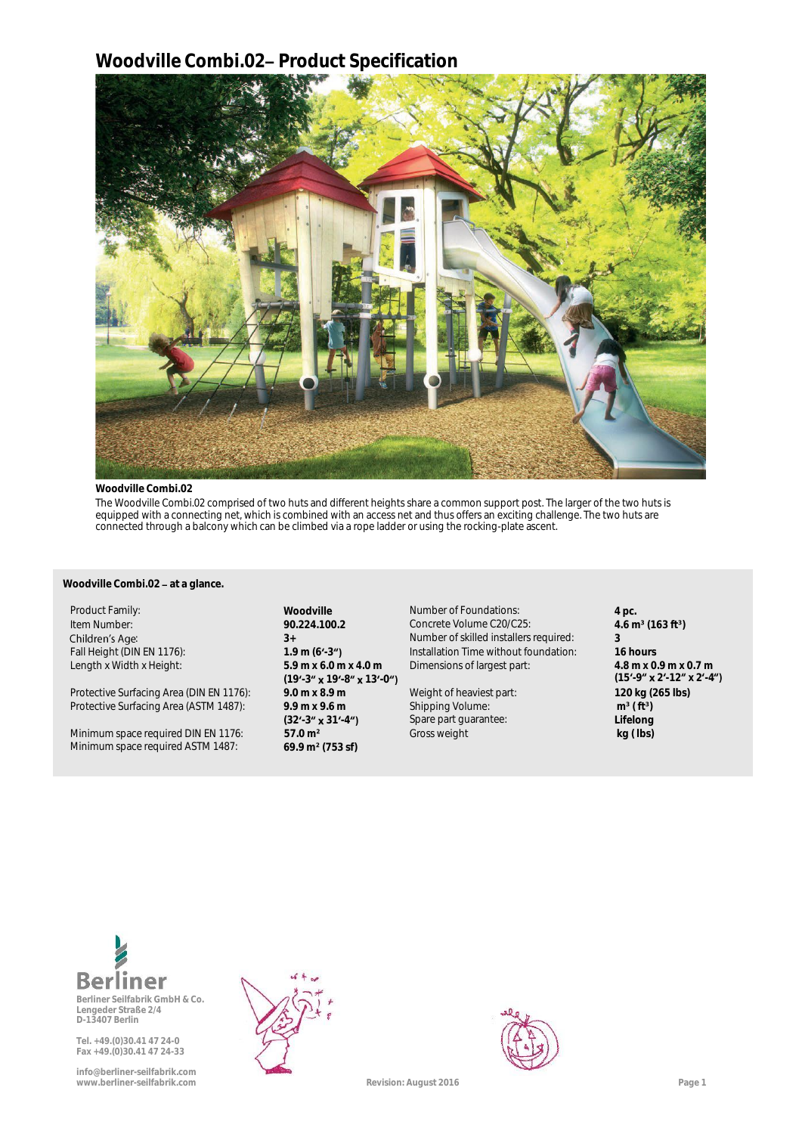# **Woodville Combi.02 Product Specification**



### **Woodville Combi.02**

**a** The Woodville Combi.02 comprised of two huts and different heights share a common support post. The larger of the two huts is equipped with a connecting net, which is combined with an access net and thus offers an exciting challenge. The two huts are connected through a balcony which can be climbed via a rope ladder or using the rocking-plate ascent.

# y **Woodville Combi.02 at a glance.**

Protective Surfacing Area (DIN EN 1176): **9.0 m x 8.9 m** Weight of heaviest part: **120 kg (265 lbs)** Protective Surfacing Area (ASTM 1487): **9.9 m x 9.6 m**

Minimum space required DIN EN 1176: **57.0 m²** Gross weight **kg ( lbs)** Minimum space required ASTM 1487: **69.9 m² (753 sf)**

Length x Width x Height: **5.9 m x 6.0 m x 4.0 m (19'-3" x 19'-8" x 13'-0")**<br>9.0 m x 8.9 m (32'-3" **x** 31'-4")<br>57.0 m<sup>2</sup>

Product Family: **All and Product Family: All and Product Family: 4** pc. Item Number: **90.224.100.2** Concrete Volume C20/C25: **4.6 m³ (163 ft³)** 9 1.9 Mumber of skilled installers required: **3**<br> **1.9 m (6'-3")** Fall Height (DIN EN 1176): **1.9 m (6'-3")** Installation Time without foundation: 1.9 Fall Height (DIN EN 1176): **1.9 m (6 -3** Installation Time without foundation: **16 hours Dimensions of largest part:** 

> Shipping Volume: Spare part guarantee:

**4** 8 m x 0.9 m x 0.7 m<br>(15'-9" **x** 2'-12" x 2'-4") **m³ ( ft³) a Lifelong**



**Berliner Seilfabrik GmbH & Co. Lengeder Straße 2/4 D-13407 Berlin**

**Tel. +49.(0)30.41 47 24-0 Fax +49.(0)30.41 47 24-33**

**info@berliner-seilfabrik.com www.berliner-seilfabrik.com Revision: August 2016 Page 1**